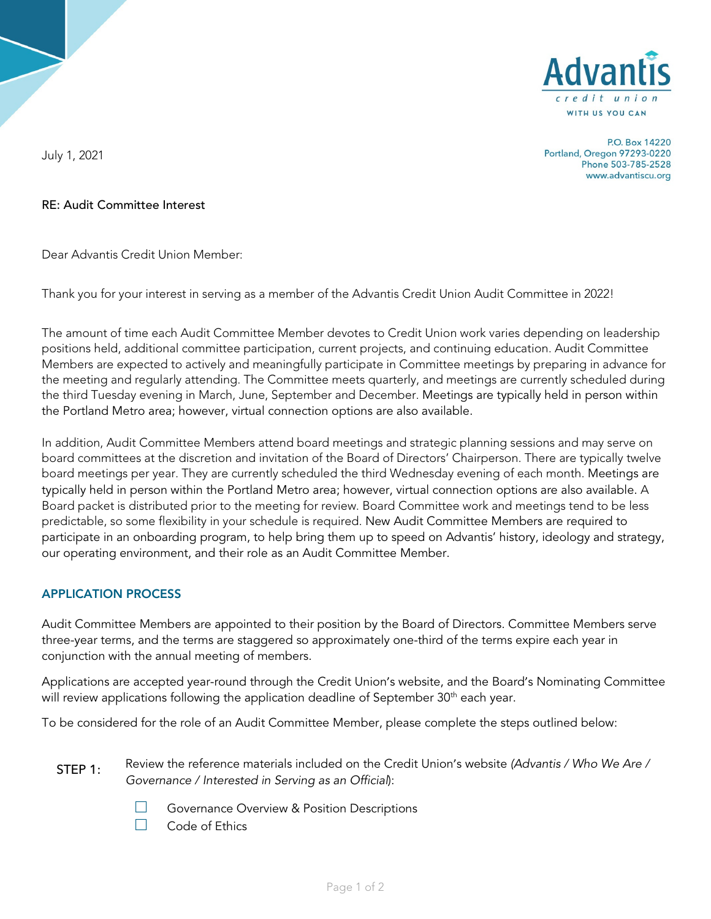

P.O. Box 14220 Portland, Oregon 97293-0220 Phone 503-785-2528 www.advantiscu.org

July 1, 2021

## RE: Audit Committee Interest

Dear Advantis Credit Union Member:

Thank you for your interest in serving as a member of the Advantis Credit Union Audit Committee in 2022!

The amount of time each Audit Committee Member devotes to Credit Union work varies depending on leadership positions held, additional committee participation, current projects, and continuing education. Audit Committee Members are expected to actively and meaningfully participate in Committee meetings by preparing in advance for the meeting and regularly attending. The Committee meets quarterly, and meetings are currently scheduled during the third Tuesday evening in March, June, September and December. Meetings are typically held in person within the Portland Metro area; however, virtual connection options are also available.

In addition, Audit Committee Members attend board meetings and strategic planning sessions and may serve on board committees at the discretion and invitation of the Board of Directors' Chairperson. There are typically twelve board meetings per year. They are currently scheduled the third Wednesday evening of each month. Meetings are typically held in person within the Portland Metro area; however, virtual connection options are also available. A Board packet is distributed prior to the meeting for review. Board Committee work and meetings tend to be less predictable, so some flexibility in your schedule is required. New Audit Committee Members are required to participate in an onboarding program, to help bring them up to speed on Advantis' history, ideology and strategy, our operating environment, and their role as an Audit Committee Member.

## APPLICATION PROCESS

Audit Committee Members are appointed to their position by the Board of Directors. Committee Members serve three-year terms, and the terms are staggered so approximately one-third of the terms expire each year in conjunction with the annual meeting of members.

Applications are accepted year-round through the Credit Union's website, and the Board's Nominating Committee will review applications following the application deadline of September 30<sup>th</sup> each year.

To be considered for the role of an Audit Committee Member, please complete the steps outlined below:

- Review the reference materials included on the Credit Union's website *(Advantis / Who We Are / Governance / Interested in Serving as an Official*): STEP 1:
	- □ Governance Overview & Position Descriptions<br>□ Code of Ethics
	- Code of Ethics